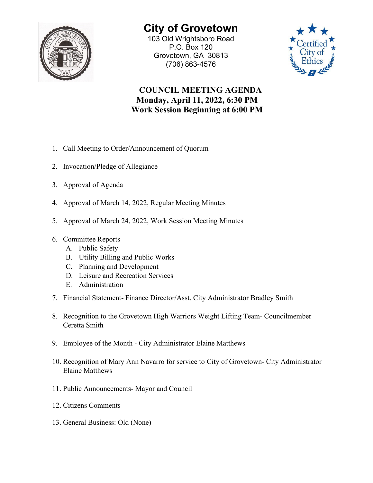

## **City of Grovetown** 103 Old Wrightsboro Road

P.O. Box 120 Grovetown, GA 30813 (706) 863-4576



## **COUNCIL MEETING AGENDA Monday, April 11, 2022, 6:30 PM Work Session Beginning at 6:00 PM**

- 1. Call Meeting to Order/Announcement of Quorum
- 2. Invocation/Pledge of Allegiance
- 3. Approval of Agenda
- 4. Approval of March 14, 2022, Regular Meeting Minutes
- 5. Approval of March 24, 2022, Work Session Meeting Minutes
- 6. Committee Reports
	- A. Public Safety
	- B. Utility Billing and Public Works
	- C. Planning and Development
	- D. Leisure and Recreation Services
	- E. Administration
- 7. Financial Statement- Finance Director/Asst. City Administrator Bradley Smith
- 8. Recognition to the Grovetown High Warriors Weight Lifting Team- Councilmember Ceretta Smith
- 9. Employee of the Month City Administrator Elaine Matthews
- 10. Recognition of Mary Ann Navarro for service to City of Grovetown- City Administrator Elaine Matthews
- 11. Public Announcements- Mayor and Council
- 12. Citizens Comments
- 13. General Business: Old (None)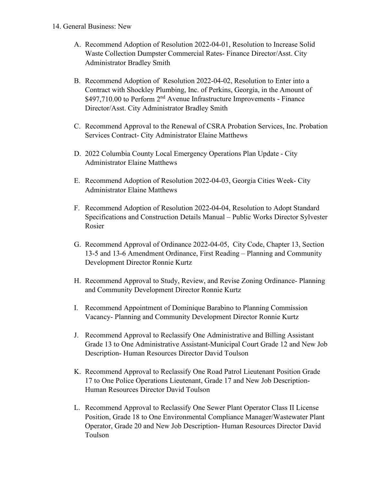- 14. General Business: New
	- A. Recommend Adoption of Resolution 2022-04-01, Resolution to Increase Solid Waste Collection Dumpster Commercial Rates- Finance Director/Asst. City Administrator Bradley Smith
	- B. Recommend Adoption of Resolution 2022-04-02, Resolution to Enter into a Contract with Shockley Plumbing, Inc. of Perkins, Georgia, in the Amount of \$497,710.00 to Perform 2<sup>nd</sup> Avenue Infrastructure Improvements - Finance Director/Asst. City Administrator Bradley Smith
	- C. Recommend Approval to the Renewal of CSRA Probation Services, Inc. Probation Services Contract- City Administrator Elaine Matthews
	- D. 2022 Columbia County Local Emergency Operations Plan Update City Administrator Elaine Matthews
	- E. Recommend Adoption of Resolution 2022-04-03, Georgia Cities Week- City Administrator Elaine Matthews
	- F. Recommend Adoption of Resolution 2022-04-04, Resolution to Adopt Standard Specifications and Construction Details Manual – Public Works Director Sylvester Rosier
	- G. Recommend Approval of Ordinance 2022-04-05, City Code, Chapter 13, Section 13-5 and 13-6 Amendment Ordinance, First Reading – Planning and Community Development Director Ronnie Kurtz
	- H. Recommend Approval to Study, Review, and Revise Zoning Ordinance- Planning and Community Development Director Ronnie Kurtz
	- I. Recommend Appointment of Dominique Barabino to Planning Commission Vacancy- Planning and Community Development Director Ronnie Kurtz
	- J. Recommend Approval to Reclassify One Administrative and Billing Assistant Grade 13 to One Administrative Assistant-Municipal Court Grade 12 and New Job Description- Human Resources Director David Toulson
	- K. Recommend Approval to Reclassify One Road Patrol Lieutenant Position Grade 17 to One Police Operations Lieutenant, Grade 17 and New Job Description-Human Resources Director David Toulson
	- L. Recommend Approval to Reclassify One Sewer Plant Operator Class II License Position, Grade 18 to One Environmental Compliance Manager/Wastewater Plant Operator, Grade 20 and New Job Description- Human Resources Director David Toulson